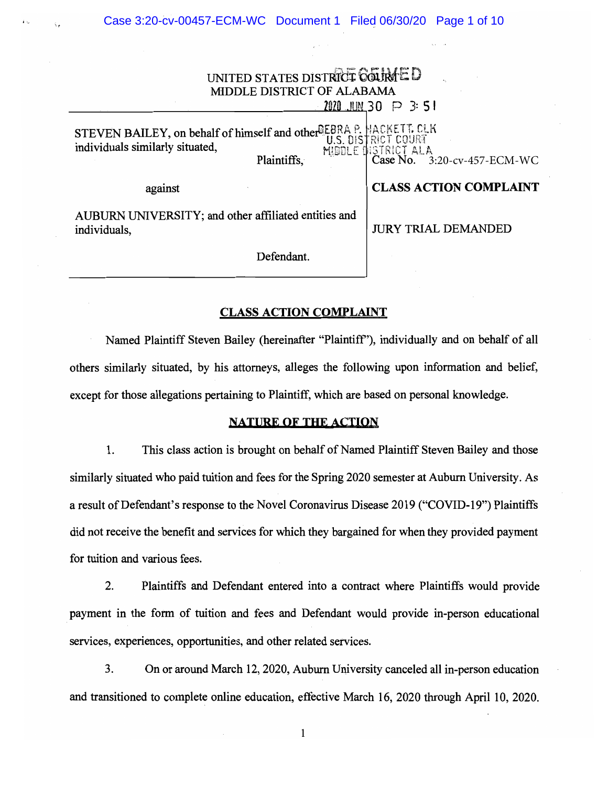| UNITED STATES DISTRICT COLIMMED<br>MIDDLE DISTRICT OF ALABAMA<br>$2020$ JUN 30 $\,\,\mathrm{P}$ 3:51               |                                                                                        |  |  |  |  |  |
|--------------------------------------------------------------------------------------------------------------------|----------------------------------------------------------------------------------------|--|--|--|--|--|
| STEVEN BAILEY, on behalf of himself and other LEBRA P.<br>individuals similarly situated,<br>MIDDLE<br>Plaintiffs, | HACKETT, CLK<br><b>COUR4</b><br>ISTRICT ALA<br><b>Case No.</b> 3<br>3:20-cv-457-ECM-WC |  |  |  |  |  |
| against                                                                                                            | <b>CLASS ACTION COMPLAINT</b>                                                          |  |  |  |  |  |
| AUBURN UNIVERSITY; and other affiliated entities and<br>individuals,                                               | <b>JURY TRIAL DEMANDED</b>                                                             |  |  |  |  |  |
| Defendant.                                                                                                         |                                                                                        |  |  |  |  |  |

## CLASS ACTION COMPLAINT

Named Plaintiff Steven Bailey (hereinafter "Plaintiff"), individually and on behalf of all others similarly situated, by his attorneys, alleges the following upon information and belief, except for those allegations pertaining to Plaintiff, which are based on personal knowledge.

## NATURE OF THE ACTION

1. This class action is brought on behalf of Named Plaintiff Steven Bailey and those similarly situated who paid tuition and fees for the Spring 2020 semester at Auburn University. As a result of Defendant's response to the Novel Coronavirus Disease 2019 ("COVID-19") Plaintiffs did not receive the benefit and services for which they bargained for when they provided payment for tuition and various fees.

2. Plaintiffs and Defendant entered into a contract where Plaintiffs would provide payment in the form of tuition and fees and Defendant would provide in-person educational services, experiences, opportunities, and other related services.

3. On or around March 12, 2020, Auburn University canceled all in-person education and transitioned to complete online education, effective March 16, 2020 through April 10, 2020.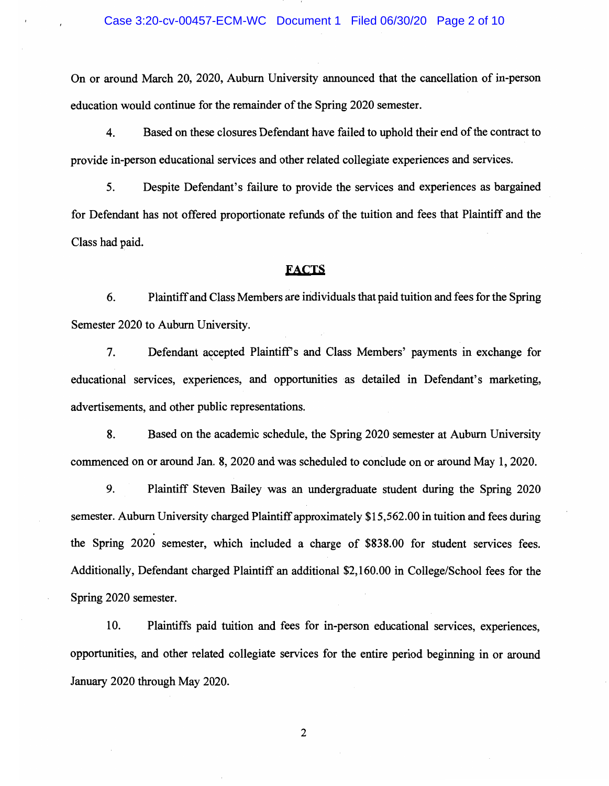On or around March 20, 2020, Auburn University announced that the cancellation of in-person education would continue for the remainder of the Spring 2020 semester.

4. Based on these closures Defendant have failed to uphold their end of the contract to provide in-person educational services and other related collegiate experiences and services.

5. Despite Defendant's failure to provide the services and experiences as bargained for Defendant has not offered proportionate refunds of the tuition and fees that Plaintiff and the Class had paid.

#### FACTS

6. Plaintiff and Class Members are individuals that paid tuition and fees for the Spring Semester 2020 to Auburn University.

7. Defendant accepted Plaintiff s and Class Members' payments in exchange for educational services, experiences, and opportunities as detailed in Defendant's marketing, advertisements, and other public representations.

8. Based on the academic schedule, the Spring 2020 semester at Auburn University commenced on or around Jan. 8, 2020 and was scheduled to conclude on or around May 1, 2020.

9. Plaintiff Steven Bailey was an undergraduate student during the Spring 2020 semester. Auburn University charged Plaintiff approximately \$15,562.00 in tuition and fees during the Spring 2020 semester, which included a charge of \$838.00 for student services fees. Additionally, Defendant charged Plaintiff an additional \$2,160.00 in College/School fees for the Spring 2020 semester.

10. Plaintiffs paid tuition and fees for in-person educational services, experiences, opportunities, and other related collegiate services for the entire period beginning in or around January 2020 through May 2020.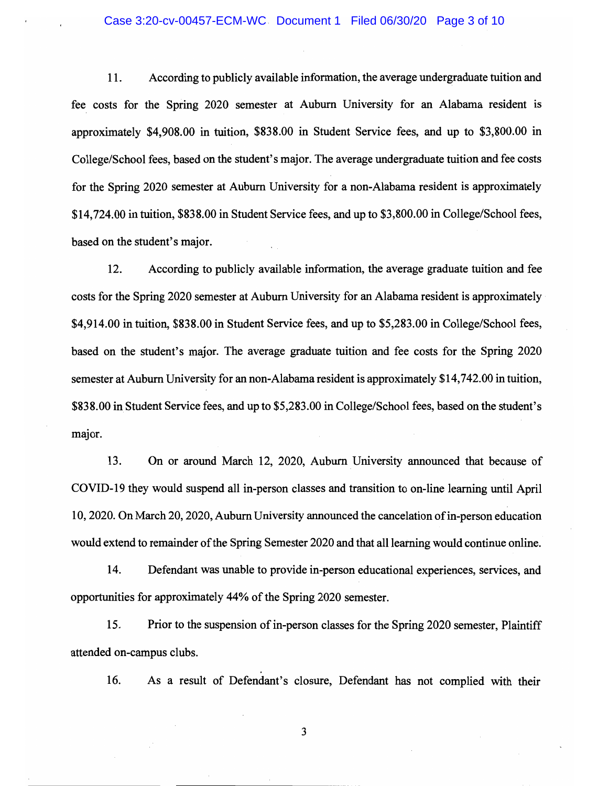#### Case 3:20-cv-00457-ECM-WC Document 1 Filed 06/30/20 Page 3 of 10

11. According to publicly available information, the average undergraduate tuition and fee costs for the Spring 2020 semester at Auburn University for an Alabama resident is approximately \$4,908.00 in tuition, \$838.00 in Student Service fees, and up to \$3,800.00 in College/School fees, based on the student's major. The average undergraduate tuition and fee costs for the Spring 2020 semester at Auburn University for a non-Alabama resident is approximately \$14,724.00 in tuition, \$838.00 in Student Service fees, and up to \$3,800.00 in College/School fees, based on the student's major.

12. According to publicly available information, the average graduate tuition and fee costs for the Spring 2020 semester at Auburn University for an Alabama resident is approximately \$4,914.00 in tuition, \$838.00 in Student Service fees, and up to \$5,283.00 in College/School fees, based on the student's major. The average graduate tuition and fee costs for the Spring 2020 semester at Auburn University for an non-Alabama resident is approximately \$14,742.00 in tuition, \$838.00 in Student Service fees, and up to \$5,283.00 in College/School fees, based on the student's major.

13. On or around March 12, 2020, Auburn University announced that because of COVID-19 they would suspend all in-person classes and transition to on-line learning until April 10, 2020. On March 20, 2020, Auburn University announced the cancelation of in-person education would extend to remainder of the Spring Semester 2020 and that all learning would continue online.

14. Defendant was unable to provide in-person educational experiences, services, and opportunities for approximately 44% of the Spring 2020 semester.

15. Prior to the suspension of in-person classes for the Spring 2020 semester, Plaintiff attended on-campus clubs.

16. As a result of Defendant's closure, Defendant has not cornplied with their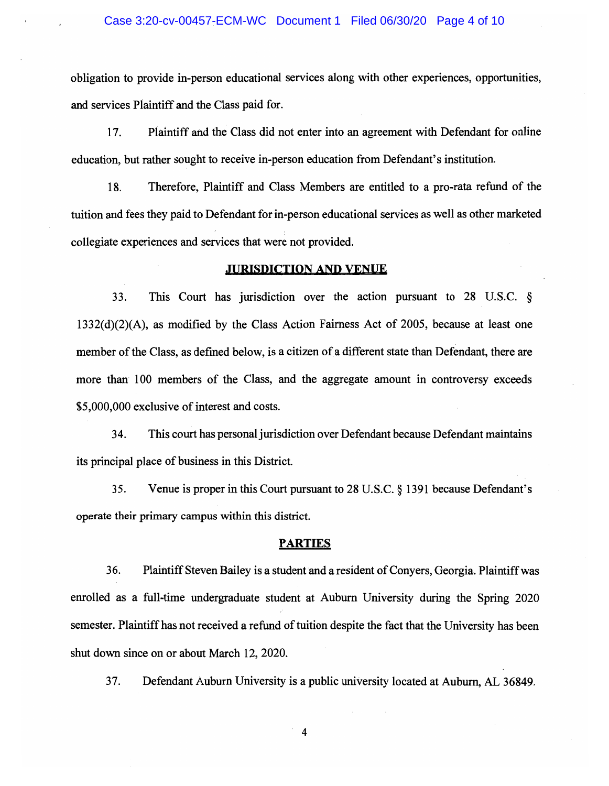obligation to provide in-person educational services along with other experiences, opportunities, and services Plaintiff and the Class paid for.

17. Plaintiff and the Class did not enter into an agreement with Defendant for online education, but rather sought to receive in-person education from Defendant's institution.

18. Therefore, Plaintiff and Class Members are entitled to a pro-rata refund of the tuition and fees they paid to Defendant for in-person educational services as well as other marketed collegiate experiences and services that were not provided.

## JURISDICTION AND VENUF,

33. This Court has jurisdiction over the action pursuant to 28 U.S.C. § 1332(d)(2)(A), as modified by the Class Action Fairness Act of 2005, because at least one member of the Class, as defined below, is a citizen of a different state than Defendant, there are more than 100 members of the Class, and the aggregate amount in controversy exceeds \$5,000,000 exclusive of interest and costs.

34. This court has personal jurisdiction over Defendant because Defendant maintains its principal place of business in this District

35. Venue is proper in this Court pursuant to 28 U.S.C. § 1391 because Defendant's operate their primary campus within this district.

## PARTIES

36. Plaintiff Steven Bailey is a student and a resident of Conyers, Georgia. Plaintiff was enrolled as a full-time undergraduate student at Auburn University during the Spring 2020 semester. Plaintiff has not received a refund of tuition despite the fact that the University has been shut down since on or about March 12, 2020.

37. Defendant Auburn University is a public university located at Auburn, AL 36849.

 $\overline{\mathbf{4}}$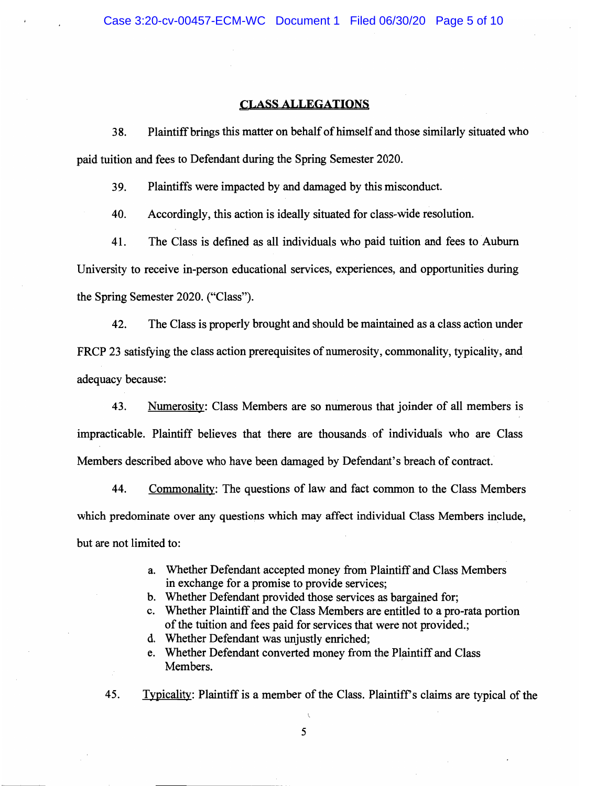## **CLASS ALLEGATIONS**

38. Plaintiff brings this matter on behalf of himself and those similarly situated who paid tuition and fees to Defendant during the Spring Semester 2020.

39. Plaintiffs were impacted by and damaged by this misconduct.

40. Accordingly, this action is ideally situated for class-wide resolution.

41. The Class is defined as all individuals who paid tuition and fees to Auburn University to receive in-person educational services, experiences, and opportunities during the Spring Semester 2020. ("Class").

42. The Class is properly brought and should be maintained as a class action under FRCP 23 satisfying the class action prerequisites of numerosity, commonality, typicality, and adequacy because:

43. Numerosity: Class Members are so numerous that joinder of all members is irnpracticable. Plaintiff believes that there are thousands of individuals who are Class Members described above who have been damaged by Defendant's breach of contract.

44. Commonality: The questions of law and fact common to the Class Members which predominate over any questions which may affect individual Class Members include, but are not limited to:

- a. Whether Defendant accepted money from Plaintiff and Class Members in exchange for a promise to provide services;
- b. Whether Defendant provided those services as bargained for;
- c. Whether Plaintiff and the Class Members are entitled to a pro-rata portion of the tuition and fees paid for services that were not provided.;
- d. Whether Defendant was unjustly enriched;
- e. Whether Defendant converted money from the Plaintiff and Class Members.
- 45. Typicality: Plaintiff is a member of the Class. Plaintiff s claims are typical of the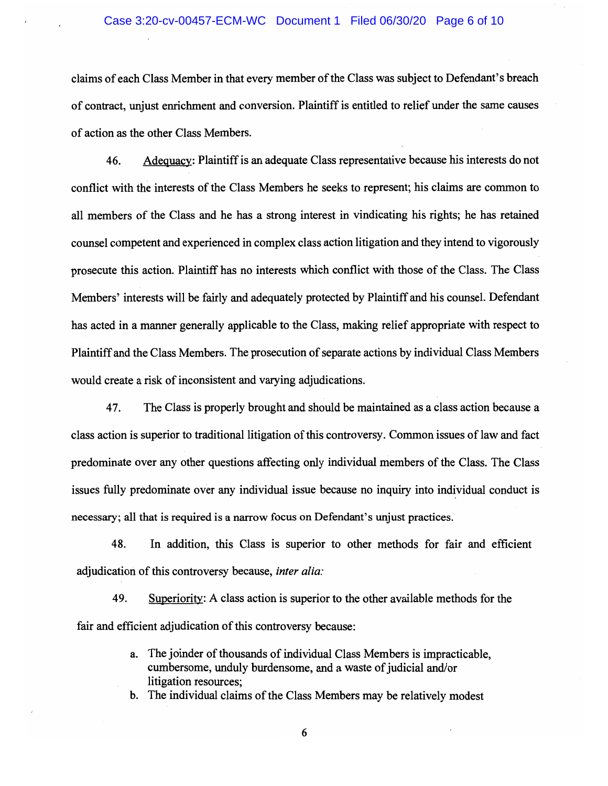## Case 3:20-cv-00457-ECM-WC Document 1 Filed 06/30/20 Page 6 of 10

claims of each Class Member in that every member of the Class was subject to Defendant's breach of contract, unjust enrichment and conversion. Plaintiff is entitled to relief under the same causes of action as the other Class Members.

46. Adequacy:Plaintiff is an adequate Class representative because his interests do not conflict with the interests of the Class Members he seeks to represent; his claims are common to all mernbers of the Class and he has a strong interest in vindicating his rights; he has retained counsel competent and experienced in complex class action litigation and they intend to vigorously prosecute this action. Plaintiff has no interests which conflict with those of the Class. The Class Members' interests will be fairly and adequately protected by Plaintiff and his counsel. Defendant has acted in a manner generally applicable to the Class, making relief appropriate with respect to Plaintiff and the Class Members. The prosecution of separate actions by individual Class Members would create a risk of inconsistent and varying adjudications.

47. The Class is properly brought and should be maintained as a class action because a class action is superior to traditional litigation of this controversy. Common issues of law and fact predominate over any other questions affecting only individual members of the Class. The Class issues fully predominate over any individual issue because no inquiry into individual conduct is necessary; all that is required is a narrow focus on Defendant's unjust practices.

48. In addition, this Class is superior to other methods for fair and efficient adjudication of this controversy because, inter alia:

49. Superiority: A class action is superior to the other available methods for the fair and efficient adjudication of this controversy because:

> a. The joinder of thousands of individual Class Members is impracticable, cumbersome, unduly burdensome, and a waste of judicial and/or litigation resources;

b. The individual claims of the Class Members may be relatively modest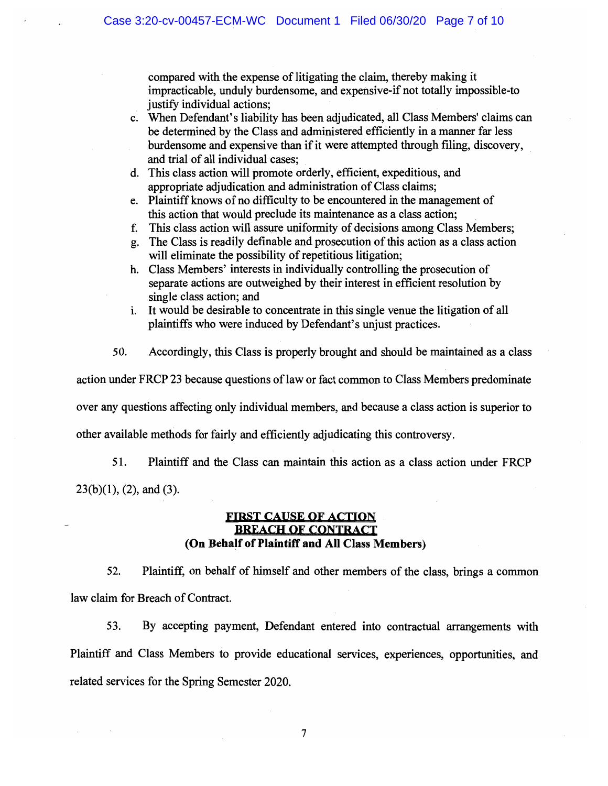compared with the expense of litigating the claim, thereby making it impracticable, unduly burdensome, and expensive-if not totally impossible-to justify individual actions;

- c. When Defendant's liability has been adjudicated, all Class Members' claims can be determined by the Class and administered efficiently in a manner far less burdensome and expensive than if it were attempted through filing, discovery, and trial of all individual cases;
- d. This class action will promote orderly, efficient, expeditious, and appropriate adjudication and administration of Class claims;
- e. Plaintiff knows of no difficulty to be encountered in the management of this action that would preclude its maintenance as a class action;
- f. This class action will assure uniformity of decisions among Class Members;
- g. The Class is readily definable and prosecution of this action as a class action will eliminate the possibility of repetitious litigation;
- h. Class Members' interests in individually controlling the prosecution of separate actions are outweighed by their interest in efficient resolution by single class action; and
- i. It would be desirable to concentrate in this single venue the litigation of all plaintiffs who were induced by Defendant's unjust practices.
- 50. Accordingly, this Class is properly brought and should be maintained as a class

action under FRCP 23 because questions of law or fact common to Class Members predominate

over any questions affecting only individual members, and because a class action is superior to

other available methods for fairly and efficiently adjudicating this controversy.

51. Plaintiff and the Class can maintain this action as a class action under FRCP  $23(b)(1)$ ,  $(2)$ , and  $(3)$ .

## FIRST CAUSE OF ACTION )1REACH Of CONTRACT (On Behalf of Plaintiff and All Class Members)

52. Plaintiff, on behalf of himself and other members of the class, brings a common law claim for Breach of Contract.

53. By accepting payment, Defendant entered into contractual arrangements with Plaintiff and Class Members to provide educational services, experiences, opportunities, and related services for the Spring Semester 2020.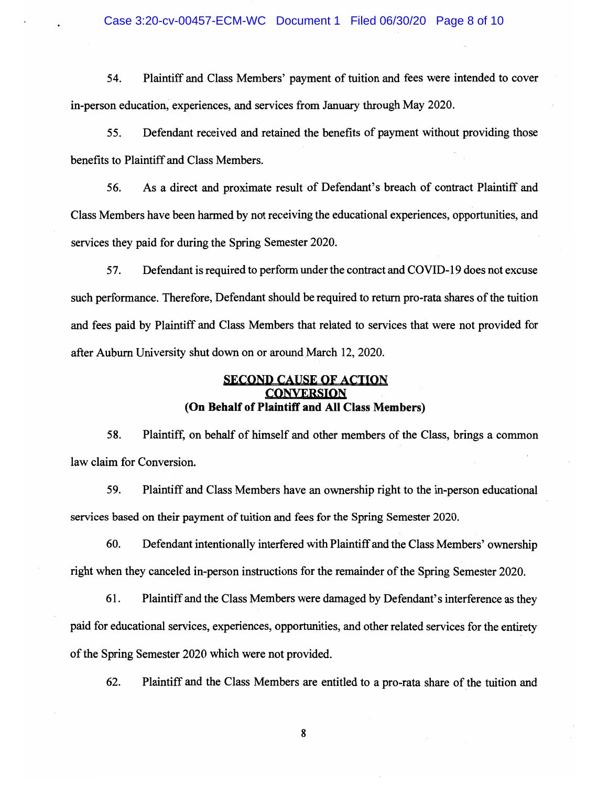## Case 3:20-cv-00457-ECM-WC Document 1 Filed 06/30/20 Page 8 of 10

54. Plaintiff and Class Mernbers' payment of tuition and fees were intended to cover in-person education, experiences, and services from January through May 2020.

55. Defendant received and retained the benefits of payment without providing those benefits to Plaintiff and Class Members.

56. As a direct and proximate result of Defendant's breach of contract Plaintiff and Class Members have been harmed by not receiving the educational experiences, opportunities, and services they paid for during the Spring Semester 2020.

57. Defendant is required to perform under the contract and COVID-19 does not excuse such performance. Therefore, Defendant should be required to return pro-rata shares of the tuition and fees paid by Plaintiff and Class Members that related to services that were not provided for after Auburn University shut down on or around March 12, 2020.

## SECOND CAUSE OF ACTION **CONVERSION** (On Behalf of Plaintiff and All Class Members)

58. Plaintiff, on behalf of himself and other members of the Class, brings a common law claim for Conversion.

59. Plaintiff and Class Members have an ownership right to the in-person educational services based on their payment of tuition and fees for the Spring Semester 2020.

60. Defendant intentionally interfered with Plaintiff and the Class Members' ownership right when they canceled in-person instructions for the remainder of the Spring Semester 2020.

61. Plaintiff and the Class Members were damaged by Defendant's interference as they paid for educational services, experiences, opportunities, and other related services for the entirety of the Spring Semester 2020 which were not provided.

62. Plaintiff and the Class Members are entitled to a pro-rata share of the tuition and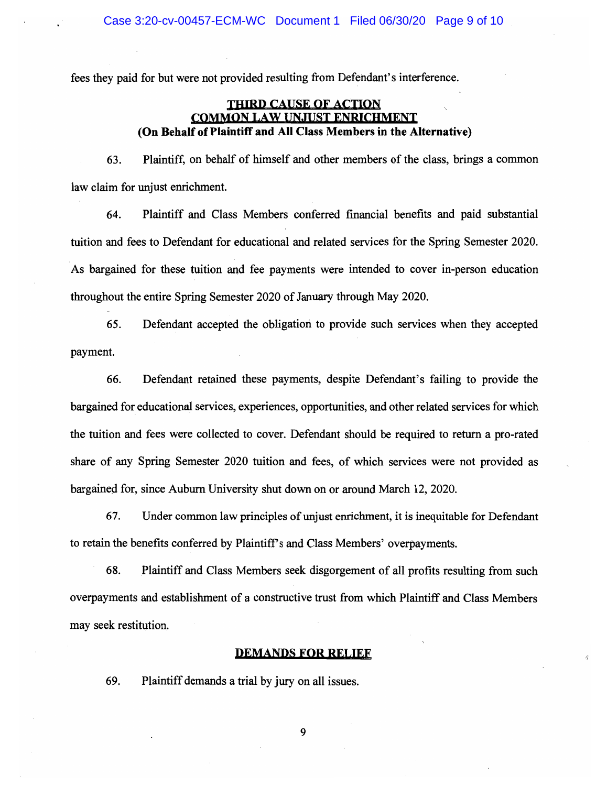fees they paid for but were not provided resulting from Defendant's interference.

## THIRD CAUSE OF ACTION COMMON LAW UNJUST ENRICHMENT (On Behalf of Plaintiff and All Class Members in the Alternative)

63. Plaintiff, on behalf of himself and other members of the class, brings a common law claim for unjust enrichment.

64. Plaintiff and Class Members conferred financial benefits and paid substantial tuition and fees to Defendant for educational and related services for the Spring Semester 2020. As bargained for these tuition and fee payments were intended to cover in-person education throughout the entire Spring Semester 2020 of January through May 2020.

65. Defendant accepted the obligation to provide such services when they accepted payment.

66. Defendant retained these payments, despite Defendant's failing to provide the bargained for educational services, experiences, opportunities, and other related services for which the tuition and fees were collected to cover. Defendant should be required to return a pro-rated share of any Spring Semester 2020 tuition and fees, of which services were not provided as bargained for, since Auburn University shut down on or around March 12, 2020.

67. Under common law principles of unjust enrichment, it is inequitable for Defendant to retain the benefits conferred by Plaintiff s and Class Members' overpayments.

68. Plaintiff and Class Members seek disgorgement of all profits resulting from such overpayments and establishment of a constructive trust from which Plaintiff and Class Members may seek restitution.

### DEMANDS FOR RELIEF

69. Plaintiff demands a trial by jury on all issues.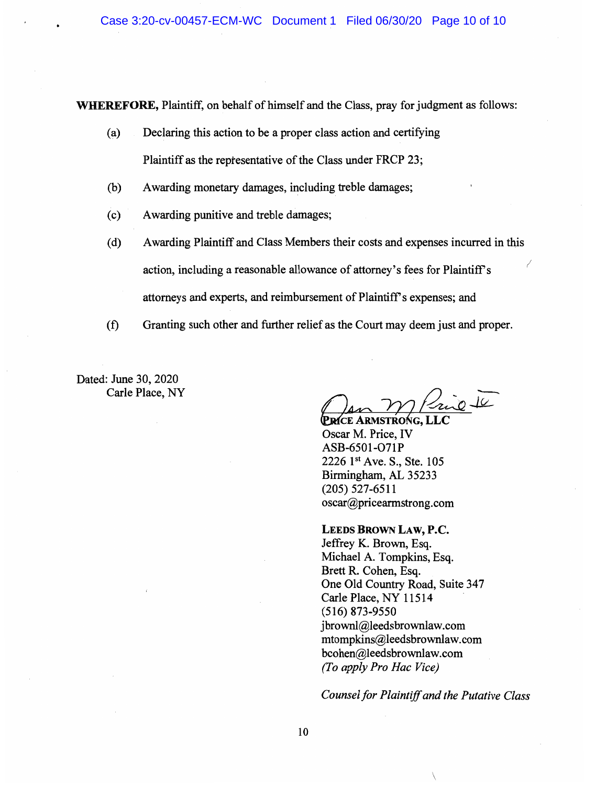WHEREFORE, Plaintiff, on behalf of himself and the Class, pray for judgment as follows:

- (a) Declaring this action to be a proper class action and certifying Plaintiff as the reptesentative of the Class under FRCP 23;
- (b) Awarding monetary damages, including treble damages;
- (c) Awarding punitive and treble damages;
- (d) Awarding Plaintiff and Class Members their costs and expenses incurred in this action, including a reasonable allowance of attorney's fees for Plaintiff s attorneys and experts, and reimbursement of Plaintiff s expenses; and
- (f) Granting such other and further relief as the Court may deem just and proper.

Dated: June 30, 2020 Carle Place, NY

PRICE ARMSTRONG, LLC

Oscar M. Price, IV ASB-6501-071P 2226 1st Ave. S., Ste. 105 Birmingham, AL 35233 (205) 527-6511 oscar@pricearmstrong.com

#### LEEDS BROWN LAW, P.C.

Jeffrey K. Brown, Esq. Michael A. Tompkins, Esq. Brett R. Cohen, Esq. One Old Country Road, Suite 347 Carle Place, NY 11514 (516) 873-9550 jbrownl@leedsbrownlaw.com mtompkins@leedsbrownlaw.com bcohen@leedsbrownlaw.com (To apply Pro Hac Vice)

Counsel for Plaintiff and the Putative Class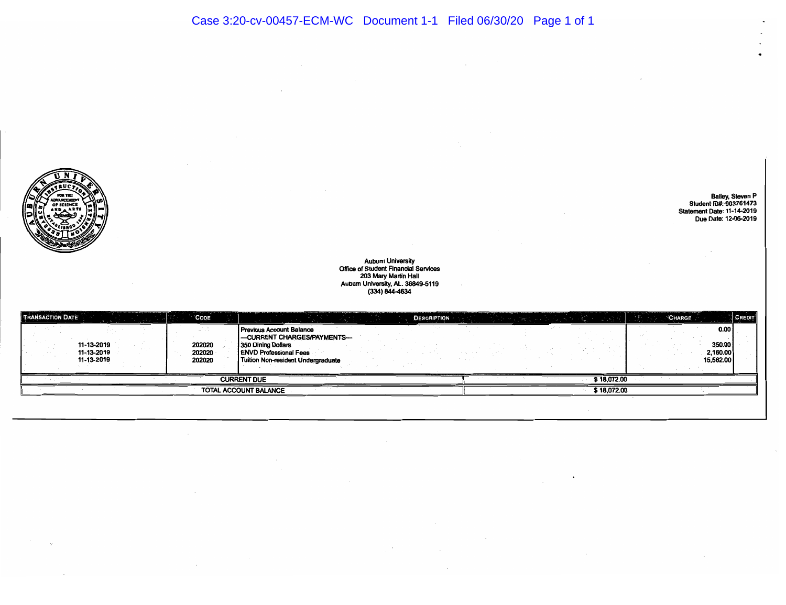$\ddot{\phantom{a}}$ 

Bailey, Steven P<br>Student ID#: 903761473<br>Statement Date: 11-14-2019<br>Due Date: 12-06-2019

 $\bullet$ 



# Aubum University Office of Student Financial Services 203 Mary Marlin Hall Aubum University, AL. 36849-5119 (334) 844-4634

| <b>TRANSACTION DATE</b><br>CODE                                      | <b>DESCRIPTION</b>                                                                                                                                                 |             | <b>CREDIT</b><br>CHARGE                 |
|----------------------------------------------------------------------|--------------------------------------------------------------------------------------------------------------------------------------------------------------------|-------------|-----------------------------------------|
| 11-13-2019<br>202020<br>11-13-2019<br>202020<br>11-13-2019<br>202020 | <b>Previous Account Balance</b><br>-CURRENT CHARGES/PAYMENTS-<br><b>1350 Dining Dollars</b><br><b>ENVD Professional Fees</b><br>Tuition Non-resident Undergraduate |             | 0.00<br>350.00<br>2,160.00<br>15,562.00 |
|                                                                      | <b>CURRENT DUE</b>                                                                                                                                                 | \$18,072.00 |                                         |
|                                                                      | TOTAL ACCOUNT BALANCE                                                                                                                                              | \$18,072.00 |                                         |

 $\sim 10^{11}$  km s  $^{-1}$  m s  $^{-1}$ 

 $\sim 100$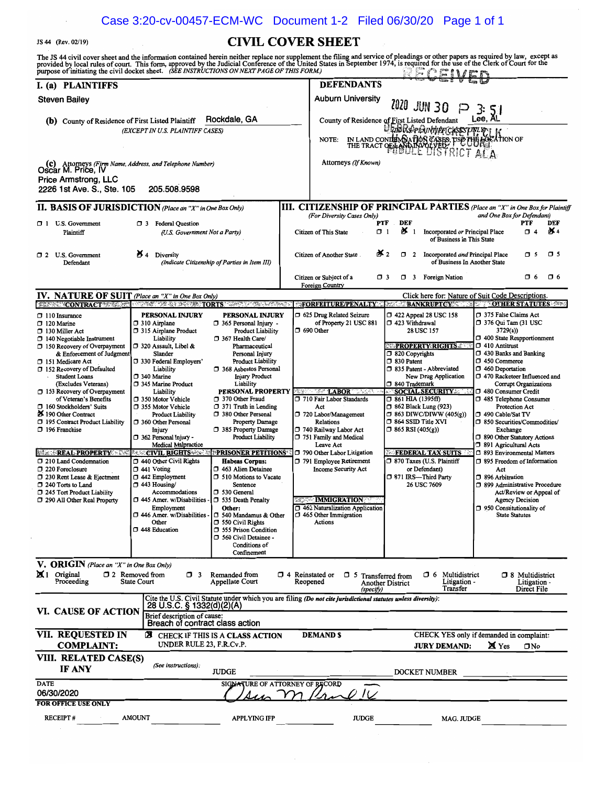## Case 3:20-cv-00457-ECM-WC Document 1-2 Filed 06/30/20 Page 1 of 1

JS 44 (Rev. 02/19) CIVIL COVER SHEET

| The JS 44 civil cover sheet and the information contained herein neither replace nor supplement the filing and service of pleadings or other papers as required by law, except as<br>provided by local rules of court. This form, approved by the Judicial Conference of the United States in September 1974, is required for the use of the Clerk of Court for the<br>purpose of initiating the civil docket sheet. (SEE INSTRUCTIONS ON NEXT PAGE OF THIS FORM.)                                                                                                                                                                        |                                                                                                                                                                                                                                                                                                                                                                                                                                                                                                                                                                                                                            |                                                                                                                                                                                                                                                                                                                                                                                                                                                                                                                                                                                                                                                                                                                               |                   |                                                                                                                                                                                                                                                                                                                                                                                                                                        |                                                                                               | ssemn                                                                                                                                                                                                                                                                                                                                                                                          |                                                                                                                                                                                                                                                                                                                                                                                                                                                                                                                                                                                                                                                                                              |                                                       |          |
|-------------------------------------------------------------------------------------------------------------------------------------------------------------------------------------------------------------------------------------------------------------------------------------------------------------------------------------------------------------------------------------------------------------------------------------------------------------------------------------------------------------------------------------------------------------------------------------------------------------------------------------------|----------------------------------------------------------------------------------------------------------------------------------------------------------------------------------------------------------------------------------------------------------------------------------------------------------------------------------------------------------------------------------------------------------------------------------------------------------------------------------------------------------------------------------------------------------------------------------------------------------------------------|-------------------------------------------------------------------------------------------------------------------------------------------------------------------------------------------------------------------------------------------------------------------------------------------------------------------------------------------------------------------------------------------------------------------------------------------------------------------------------------------------------------------------------------------------------------------------------------------------------------------------------------------------------------------------------------------------------------------------------|-------------------|----------------------------------------------------------------------------------------------------------------------------------------------------------------------------------------------------------------------------------------------------------------------------------------------------------------------------------------------------------------------------------------------------------------------------------------|-----------------------------------------------------------------------------------------------|------------------------------------------------------------------------------------------------------------------------------------------------------------------------------------------------------------------------------------------------------------------------------------------------------------------------------------------------------------------------------------------------|----------------------------------------------------------------------------------------------------------------------------------------------------------------------------------------------------------------------------------------------------------------------------------------------------------------------------------------------------------------------------------------------------------------------------------------------------------------------------------------------------------------------------------------------------------------------------------------------------------------------------------------------------------------------------------------------|-------------------------------------------------------|----------|
| I. (a) PLAINTIFFS                                                                                                                                                                                                                                                                                                                                                                                                                                                                                                                                                                                                                         |                                                                                                                                                                                                                                                                                                                                                                                                                                                                                                                                                                                                                            |                                                                                                                                                                                                                                                                                                                                                                                                                                                                                                                                                                                                                                                                                                                               |                   | <b>DEFENDANTS</b>                                                                                                                                                                                                                                                                                                                                                                                                                      |                                                                                               |                                                                                                                                                                                                                                                                                                                                                                                                |                                                                                                                                                                                                                                                                                                                                                                                                                                                                                                                                                                                                                                                                                              |                                                       |          |
| Steven Bailey                                                                                                                                                                                                                                                                                                                                                                                                                                                                                                                                                                                                                             |                                                                                                                                                                                                                                                                                                                                                                                                                                                                                                                                                                                                                            |                                                                                                                                                                                                                                                                                                                                                                                                                                                                                                                                                                                                                                                                                                                               |                   | <b>Auburn University</b>                                                                                                                                                                                                                                                                                                                                                                                                               |                                                                                               | 2020 JUN 30                                                                                                                                                                                                                                                                                                                                                                                    |                                                                                                                                                                                                                                                                                                                                                                                                                                                                                                                                                                                                                                                                                              |                                                       |          |
| <b>(b)</b> County of Residence of First Listed Plaintiff                                                                                                                                                                                                                                                                                                                                                                                                                                                                                                                                                                                  |                                                                                                                                                                                                                                                                                                                                                                                                                                                                                                                                                                                                                            | Rockdale, GA                                                                                                                                                                                                                                                                                                                                                                                                                                                                                                                                                                                                                                                                                                                  |                   | County of Residence of First Listed Defendant                                                                                                                                                                                                                                                                                                                                                                                          |                                                                                               |                                                                                                                                                                                                                                                                                                                                                                                                | Lee, AL                                                                                                                                                                                                                                                                                                                                                                                                                                                                                                                                                                                                                                                                                      |                                                       |          |
|                                                                                                                                                                                                                                                                                                                                                                                                                                                                                                                                                                                                                                           | (EXCEPT IN U.S. PLAINTIFF CASES)                                                                                                                                                                                                                                                                                                                                                                                                                                                                                                                                                                                           |                                                                                                                                                                                                                                                                                                                                                                                                                                                                                                                                                                                                                                                                                                                               |                   | <b>NOTE:</b>                                                                                                                                                                                                                                                                                                                                                                                                                           |                                                                                               | @&@R\$p&uN#RCASESONLYPHK<br>m LAND CONTROLATION CASES TO THE TRACT OF THE TRACT OF BUILDING CASES TO ALLA                                                                                                                                                                                                                                                                                      |                                                                                                                                                                                                                                                                                                                                                                                                                                                                                                                                                                                                                                                                                              |                                                       |          |
| (c) Attorneys (Firm Name, Address, and Telephone Number)<br>OSCAr M. Price, IV<br>Price Armstrong, LLC<br>2226 1st Ave. S., Ste. 105                                                                                                                                                                                                                                                                                                                                                                                                                                                                                                      | 205.508.9598                                                                                                                                                                                                                                                                                                                                                                                                                                                                                                                                                                                                               |                                                                                                                                                                                                                                                                                                                                                                                                                                                                                                                                                                                                                                                                                                                               |                   | Attorneys (If Known)                                                                                                                                                                                                                                                                                                                                                                                                                   |                                                                                               |                                                                                                                                                                                                                                                                                                                                                                                                |                                                                                                                                                                                                                                                                                                                                                                                                                                                                                                                                                                                                                                                                                              |                                                       |          |
| II. BASIS OF JURISDICTION (Place an "X" in One Box Only)                                                                                                                                                                                                                                                                                                                                                                                                                                                                                                                                                                                  |                                                                                                                                                                                                                                                                                                                                                                                                                                                                                                                                                                                                                            |                                                                                                                                                                                                                                                                                                                                                                                                                                                                                                                                                                                                                                                                                                                               |                   | III. CITIZENSHIP OF PRINCIPAL PARTIES (Place an "X" in One Box for Plaintiff                                                                                                                                                                                                                                                                                                                                                           |                                                                                               |                                                                                                                                                                                                                                                                                                                                                                                                |                                                                                                                                                                                                                                                                                                                                                                                                                                                                                                                                                                                                                                                                                              |                                                       |          |
|                                                                                                                                                                                                                                                                                                                                                                                                                                                                                                                                                                                                                                           |                                                                                                                                                                                                                                                                                                                                                                                                                                                                                                                                                                                                                            |                                                                                                                                                                                                                                                                                                                                                                                                                                                                                                                                                                                                                                                                                                                               |                   | (For Diversity Cases Only)                                                                                                                                                                                                                                                                                                                                                                                                             |                                                                                               |                                                                                                                                                                                                                                                                                                                                                                                                | and One Box for Defendant)                                                                                                                                                                                                                                                                                                                                                                                                                                                                                                                                                                                                                                                                   | <b>PTF</b>                                            | DEF      |
| 1 U.S. Government<br>Plaintiff                                                                                                                                                                                                                                                                                                                                                                                                                                                                                                                                                                                                            | <b>3</b> Federal Question<br>(U.S. Government Not a Party)                                                                                                                                                                                                                                                                                                                                                                                                                                                                                                                                                                 |                                                                                                                                                                                                                                                                                                                                                                                                                                                                                                                                                                                                                                                                                                                               |                   | Citizen of This State                                                                                                                                                                                                                                                                                                                                                                                                                  | PTF<br>DEF<br>$\mathbf{X}$ 1<br>$\Box$ 1                                                      | Incorporated or Principal Place<br>of Business In This State                                                                                                                                                                                                                                                                                                                                   |                                                                                                                                                                                                                                                                                                                                                                                                                                                                                                                                                                                                                                                                                              | $\Box$ 4                                              | X4       |
| 2 U.S. Government<br>Defendant                                                                                                                                                                                                                                                                                                                                                                                                                                                                                                                                                                                                            | $\mathbf{M}$ 4 Diversity                                                                                                                                                                                                                                                                                                                                                                                                                                                                                                                                                                                                   | (Indicate Citizenship of Parties in Item III)                                                                                                                                                                                                                                                                                                                                                                                                                                                                                                                                                                                                                                                                                 |                   | Citizen of Another State                                                                                                                                                                                                                                                                                                                                                                                                               | త≺ 2<br>$\Box$ 2                                                                              | Incorporated and Principal Place<br>of Business In Another State                                                                                                                                                                                                                                                                                                                               |                                                                                                                                                                                                                                                                                                                                                                                                                                                                                                                                                                                                                                                                                              | $\Box$ 5                                              | $\Box$ 5 |
|                                                                                                                                                                                                                                                                                                                                                                                                                                                                                                                                                                                                                                           |                                                                                                                                                                                                                                                                                                                                                                                                                                                                                                                                                                                                                            |                                                                                                                                                                                                                                                                                                                                                                                                                                                                                                                                                                                                                                                                                                                               |                   | Citizen or Subject of a<br><b>Foreign Country</b>                                                                                                                                                                                                                                                                                                                                                                                      | О3<br>σ                                                                                       | 3 Foreign Nation                                                                                                                                                                                                                                                                                                                                                                               |                                                                                                                                                                                                                                                                                                                                                                                                                                                                                                                                                                                                                                                                                              | O 6                                                   | □ 6      |
| IV. NATURE OF SUIT (Place an "X" in One Box Only)                                                                                                                                                                                                                                                                                                                                                                                                                                                                                                                                                                                         |                                                                                                                                                                                                                                                                                                                                                                                                                                                                                                                                                                                                                            |                                                                                                                                                                                                                                                                                                                                                                                                                                                                                                                                                                                                                                                                                                                               |                   |                                                                                                                                                                                                                                                                                                                                                                                                                                        |                                                                                               | Click here for: Nature of Suit Code Descriptions.                                                                                                                                                                                                                                                                                                                                              |                                                                                                                                                                                                                                                                                                                                                                                                                                                                                                                                                                                                                                                                                              |                                                       |          |
| <b>EXPRESONTRACT EXPENSE OF A PROPERTIES TORTS</b> A PLACE A CONTRACT EXPENSES                                                                                                                                                                                                                                                                                                                                                                                                                                                                                                                                                            |                                                                                                                                                                                                                                                                                                                                                                                                                                                                                                                                                                                                                            |                                                                                                                                                                                                                                                                                                                                                                                                                                                                                                                                                                                                                                                                                                                               |                   | <b>EFORFEITURE/PENALTY BANKRUPTCY/COMPLETER STATUTES AND</b>                                                                                                                                                                                                                                                                                                                                                                           |                                                                                               |                                                                                                                                                                                                                                                                                                                                                                                                |                                                                                                                                                                                                                                                                                                                                                                                                                                                                                                                                                                                                                                                                                              |                                                       |          |
| $\Box$ 110 Insurance<br>$\Box$ 120 Marine<br>$\Box$ 130 Miller Act<br>$\Box$ 140 Negotiable Instrument<br>□ 150 Recovery of Overpayment<br>& Enforcement of Judgment<br>□ 151 Medicare Act<br>□ 152 Recovery of Defaulted<br><b>Student Loans</b><br>(Excludes Veterans)<br>□ 153 Recovery of Overpayment<br>of Veteran's Benefits<br>160 Stockholders' Suits<br>3 190 Other Contract<br>195 Contract Product Liability<br>196 Franchise<br><b>WARE REAL PROPERTY AND</b><br>1 210 Land Condemnation<br>220 Foreclosure<br>7 230 Rent Lease & Ejectment<br>240 Torts to Land<br>245 Tort Product Liability<br>290 All Other Real Property | PERSONAL INJURY<br>310 Airplane<br>315 Airplane Product<br>Liability<br>320 Assault, Libel &<br>Slander<br>□ 330 Federal Employers'<br>Liability<br>340 Marine<br>345 Marine Product<br>Liability<br>□ 350 Motor Vehicle<br>□ 355 Motor Vehicle<br><b>Product Liability</b><br>360 Other Personal<br>Injury<br>362 Personal Injury -<br>Medical Malpractice<br><b>MONE RIGHTS AND REAL PROPERTY</b><br>440 Other Civil Rights<br>$\Box$ 441 Voting<br>$\Box$ 442 Employment<br>$\Box$ 443 Housing/<br>Accommodations<br>1445 Amer. w/Disabilities -<br>Employment<br>446 Amer. w/Disabilities -<br>Other<br>7448 Education | PERSONAL INJURY<br>365 Personal Injury -<br><b>Product Liability</b><br>367 Health Care/<br>Pharmaceutical<br>Personal Injury<br><b>Product Liability</b><br>368 Asbestos Personal<br><b>Injury Product</b><br>Liability<br><b>PERSONAL PROPERTY</b><br>370 Other Fraud<br>$\Box$ 371 Truth in Lending<br>380 Other Personal<br><b>Property Damage</b><br>385 Property Damage<br><b>Product Liability</b><br><b>PRISONER PETITIONS</b><br><b>Habeas Corpus:</b><br>1 463 Alien Detainee<br><b>310 Motions to Vacate</b><br>Sentence<br>530 General<br><b>J</b> 535 Death Penalty<br>Other:<br>540 Mandamus & Other<br>$\Box$ 550 Civil Rights<br>555 Prison Condition<br>560 Civil Detainee -<br>Conditions of<br>Confinement | 缓缓打印              | 5 625 Drug Related Seizure<br>of Property 21 USC 881<br>$\Box$ 690 Other<br><b>LABOR</b><br>710 Fair Labor Standards<br>Act<br>720 Labor/Management<br>Relations<br>740 Railway Labor Act<br>751 Family and Medical<br>Leave Act<br>790 Other Labor Litigation<br>791 Employee Retirement<br><b>Income Security Act</b><br><b>EXPORTION IMMIGRATION</b><br>1 462 Naturalization Application<br>$\Box$ 465 Other Immigration<br>Actions | □ 423 Withdrawal<br>320 Copyrights<br>30 Patent<br>□ 840 Trademark<br>$\Box$ 865 RSI (405(g)) | 158 122 Appeal 28 USC 158<br>28 USC 157<br><b>EXPROPERTY RIGHTS 200</b><br>335 Patent - Abbreviated<br>New Drug Application<br><b>SOCIAL SECURITY</b><br>$\Box$ 861 HIA (1395ff)<br><sup>1</sup> 862 Black Lung (923)<br>$\Box$ 863 DIWC/DIWW (405(g))<br>$\Box$ 864 SSID Title XVI<br>FEDERAL TAX SUITS<br>7 870 Taxes (U.S. Plaintiff<br>or Defendant)<br>371 IRS-Third Party<br>26 USC 7609 | 375 False Claims Act<br>□ 376 Qui Tam (31 USC<br>3729(a)<br>400 State Reapportionment<br>$\Box$ 410 Antitrust<br>□ 430 Banks and Banking<br>$\Box$ 450 Commerce<br>460 Deportation<br>□ 470 Racketeer Influenced and<br>Corrupt Organizations<br>7 480 Consumer Credit<br>□ 485 Telephone Consumer<br>Protection Act<br>1 490 Cable/Sat TV<br>□ 850 Securities/Commodities/<br>Exchange<br>□ 890 Other Statutory Actions<br>391 Agricultural Acts<br>□ 893 Environmental Matters<br>□ 895 Freedom of Information<br>Act<br><sup>396</sup> Arbitration<br>7 899 Administrative Procedure<br>Act/Review or Appeal of<br>Agency Decision<br>7 950 Constitutionality of<br><b>State Statutes</b> |                                                       |          |
| V. ORIGIN (Place an "X" in One Box Only)<br>$\mathbf{X}$ 1 Original<br>Proceeding                                                                                                                                                                                                                                                                                                                                                                                                                                                                                                                                                         | 12 Removed from<br>$\Box$ 3<br><b>State Court</b>                                                                                                                                                                                                                                                                                                                                                                                                                                                                                                                                                                          | Remanded from<br>Appellate Court                                                                                                                                                                                                                                                                                                                                                                                                                                                                                                                                                                                                                                                                                              | 1 4 Reinstated or | $\Box$ 5 Transferred from<br>Reopened<br>(specify)<br>Cite the U.S. Civil Statute under which you are filing (Do not cite jurisdictional statutes unless diversity):                                                                                                                                                                                                                                                                   | <b>Another District</b>                                                                       | <b>0</b> 6 Multidistrict<br>Litigation -<br>Transfer                                                                                                                                                                                                                                                                                                                                           |                                                                                                                                                                                                                                                                                                                                                                                                                                                                                                                                                                                                                                                                                              | <b>3</b> Multidistrict<br>Litigation -<br>Direct File |          |
| <b>VI. CAUSE OF ACTION</b>                                                                                                                                                                                                                                                                                                                                                                                                                                                                                                                                                                                                                | 28 U.S.C. § 1332(d)(2)(A)<br>Brief description of cause:<br>Breach of contract class action                                                                                                                                                                                                                                                                                                                                                                                                                                                                                                                                |                                                                                                                                                                                                                                                                                                                                                                                                                                                                                                                                                                                                                                                                                                                               |                   |                                                                                                                                                                                                                                                                                                                                                                                                                                        |                                                                                               |                                                                                                                                                                                                                                                                                                                                                                                                |                                                                                                                                                                                                                                                                                                                                                                                                                                                                                                                                                                                                                                                                                              |                                                       |          |
| VII. REQUESTED IN<br><b>COMPLAINT:</b>                                                                                                                                                                                                                                                                                                                                                                                                                                                                                                                                                                                                    | з<br>UNDER RULE 23, F.R.Cv.P.                                                                                                                                                                                                                                                                                                                                                                                                                                                                                                                                                                                              | <b>CHECK IF THIS IS A CLASS ACTION</b>                                                                                                                                                                                                                                                                                                                                                                                                                                                                                                                                                                                                                                                                                        |                   | <b>DEMAND \$</b>                                                                                                                                                                                                                                                                                                                                                                                                                       |                                                                                               | CHECK YES only if demanded in complaint:<br><b>JURY DEMAND:</b>                                                                                                                                                                                                                                                                                                                                | X Yes                                                                                                                                                                                                                                                                                                                                                                                                                                                                                                                                                                                                                                                                                        | ONo                                                   |          |
| VIII. RELATED CASE(S)<br>IF ANY                                                                                                                                                                                                                                                                                                                                                                                                                                                                                                                                                                                                           | (See instructions):                                                                                                                                                                                                                                                                                                                                                                                                                                                                                                                                                                                                        | <b>JUDGE</b>                                                                                                                                                                                                                                                                                                                                                                                                                                                                                                                                                                                                                                                                                                                  |                   |                                                                                                                                                                                                                                                                                                                                                                                                                                        |                                                                                               | DOCKET NUMBER                                                                                                                                                                                                                                                                                                                                                                                  |                                                                                                                                                                                                                                                                                                                                                                                                                                                                                                                                                                                                                                                                                              |                                                       |          |
| <b>DATE</b><br>06/30/2020                                                                                                                                                                                                                                                                                                                                                                                                                                                                                                                                                                                                                 |                                                                                                                                                                                                                                                                                                                                                                                                                                                                                                                                                                                                                            | SIGNATURE OF ATTORNEY OF RECORD                                                                                                                                                                                                                                                                                                                                                                                                                                                                                                                                                                                                                                                                                               |                   | $I\cup$                                                                                                                                                                                                                                                                                                                                                                                                                                |                                                                                               |                                                                                                                                                                                                                                                                                                                                                                                                |                                                                                                                                                                                                                                                                                                                                                                                                                                                                                                                                                                                                                                                                                              |                                                       |          |
| <b>FOR OFFICE USE ONLY</b><br><b>RECEIPT#</b>                                                                                                                                                                                                                                                                                                                                                                                                                                                                                                                                                                                             | <b>AMOUNT</b>                                                                                                                                                                                                                                                                                                                                                                                                                                                                                                                                                                                                              | <b>APPLYING IFP</b>                                                                                                                                                                                                                                                                                                                                                                                                                                                                                                                                                                                                                                                                                                           |                   | <b>JUDGE</b>                                                                                                                                                                                                                                                                                                                                                                                                                           |                                                                                               | <b>MAG. JUDGE</b>                                                                                                                                                                                                                                                                                                                                                                              |                                                                                                                                                                                                                                                                                                                                                                                                                                                                                                                                                                                                                                                                                              |                                                       |          |